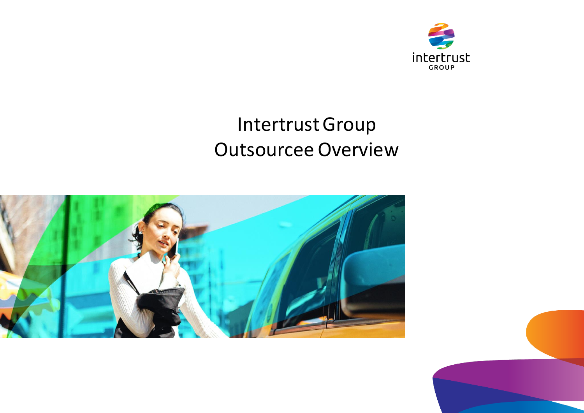

## Intertrust Group Outsourcee Overview



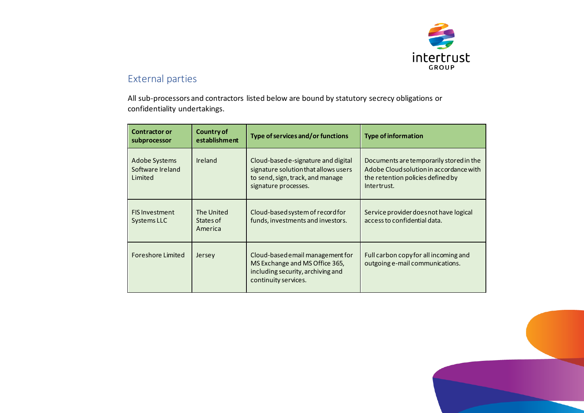

## External parties

All sub-processors and contractors listed below are bound by statutory secrecy obligations or confidentiality undertakings.

| <b>Contractor or</b><br>subprocessor         | Country of<br>establishment        | Type of services and/or functions                                                                                                       | <b>Type of information</b>                                                                                                             |
|----------------------------------------------|------------------------------------|-----------------------------------------------------------------------------------------------------------------------------------------|----------------------------------------------------------------------------------------------------------------------------------------|
| Adobe Systems<br>Software Ireland<br>Limited | Ireland                            | Cloud-based e-signature and digital<br>signature solution that allows users<br>to send, sign, track, and manage<br>signature processes. | Documents are temporarily stored in the<br>Adobe Cloud solution in accordance with<br>the retention policies defined by<br>Intertrust. |
| <b>FIS Investment</b><br>Systems LLC         | The United<br>States of<br>America | Cloud-based system of record for<br>funds, investments and investors.                                                                   | Service provider does not have logical<br>access to confidential data.                                                                 |
| Foreshore Limited                            | Jersey                             | Cloud-based email management for<br>MS Exchange and MS Office 365,<br>including security, archiving and<br>continuity services.         | Full carbon copy for all incoming and<br>outgoing e-mail communications.                                                               |

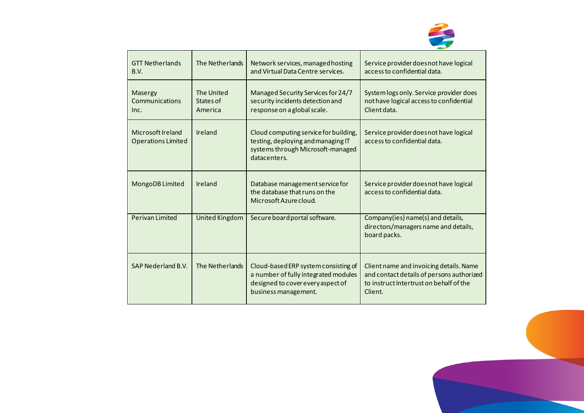

| <b>GTT Netherlands</b><br>B.V.                 | The Netherlands                    | Network services, managed hosting<br>and Virtual Data Centre services.                                                                    | Service provider does not have logical<br>access to confidential data.                                                                     |
|------------------------------------------------|------------------------------------|-------------------------------------------------------------------------------------------------------------------------------------------|--------------------------------------------------------------------------------------------------------------------------------------------|
| Masergy<br>Communications<br>Inc.              | The United<br>States of<br>America | Managed Security Services for 24/7<br>security incidents detection and<br>response on a global scale.                                     | System logs only. Service provider does<br>not have logical access to confidential<br>Client data.                                         |
| Microsoft Ireland<br><b>Operations Limited</b> | Ireland                            | Cloud computing service for building,<br>testing, deploying and managing IT<br>systems through Microsoft-managed<br>datacenters.          | Service provider does not have logical<br>access to confidential data.                                                                     |
| MongoDB Limited                                | Ireland                            | Database management service for<br>the database that runs on the<br>Microsoft Azure cloud.                                                | Service provider does not have logical<br>access to confidential data.                                                                     |
| <b>Perivan Limited</b>                         | <b>United Kingdom</b>              | Secure board portal software.                                                                                                             | Company(ies) name(s) and details,<br>directors/managers name and details,<br>board packs.                                                  |
| SAP Nederland B.V.                             | The Netherlands                    | Cloud-based ERP system consisting of<br>a number of fully integrated modules<br>designed to cover every aspect of<br>business management. | Client name and invoicing details. Name<br>and contact details of persons authorized<br>to instruct Intertrust on behalf of the<br>Client. |

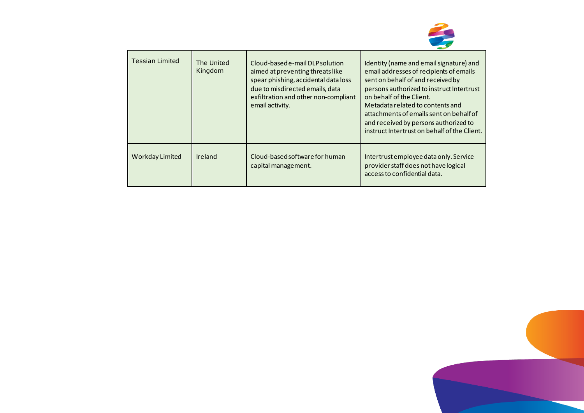

| <b>Tessian Limited</b> | The United<br>Kingdom | Cloud-basede-mail DLP solution<br>aimed at preventing threats like<br>spear phishing, accidental data loss<br>due to misdirected emails, data<br>exfiltration and other non-compliant<br>email activity. | Identity (name and email signature) and<br>email addresses of recipients of emails<br>sent on behalf of and received by<br>persons authorized to instruct Intertrust<br>on behalf of the Client.<br>Metadata related to contents and<br>attachments of emails sent on behalf of<br>and received by persons authorized to<br>instruct Intertrust on behalf of the Client. |
|------------------------|-----------------------|----------------------------------------------------------------------------------------------------------------------------------------------------------------------------------------------------------|--------------------------------------------------------------------------------------------------------------------------------------------------------------------------------------------------------------------------------------------------------------------------------------------------------------------------------------------------------------------------|
| Workday Limited        | Ireland               | Cloud-based software for human<br>capital management.                                                                                                                                                    | Intertrust employee data only. Service<br>provider staff does not have logical<br>access to confidential data.                                                                                                                                                                                                                                                           |